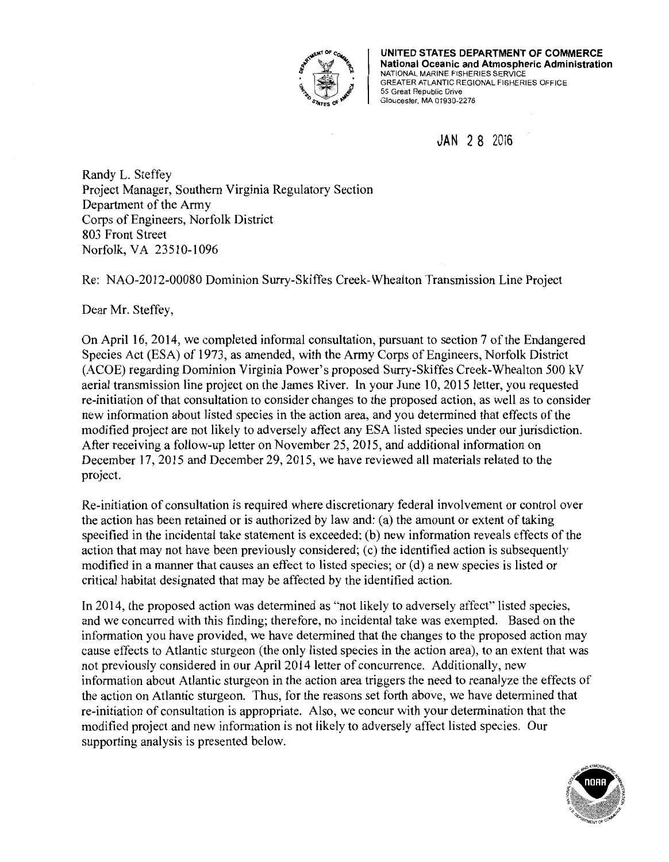

**UNITED STATES DEPARTMENT OF COMMERCE National Oceanic and Atmospheric Administration**  NATIONAL MARINE FISHERIES SERVICE GREATER ATLANTIC REGIONAL FISHERIES OFFICE 55 Great Republic Drive Gloucester, MA 01930-2276

**JAN** 2 8 2016

Randy L. Steffey Project Manager, Southern Virginia Regulatory Section Department of the Army Corps of Engineers, Norfolk District 803 Front Street Norfolk, VA 23510-1096

**US Army Corps of Engineers Norfolk District Regulatory Office Received by: RLS Date: Jan 28, 2016** 

Re: NAO-2012-00080 Dominion Surry-Skiffes Creek-Whealton Transmission Line Project

Dear Mr. Steffey,

On April 16, 2014, we completed informal consultation, pursuant to section 7 of the Endangered Species Act (ESA) of 1973, as amended, with the Army Corps of Engineers, Norfolk District (ACOE) regarding Dominion Virginia Power's proposed Surry-Skiffes Creek-Whealton 500 kV aerial transmission line project on the James River. In your June 10, 2015 letter, you requested re-initiation of that consultation to consider changes to the proposed action, as well as to consider new information about listed species in the action area, and you determined that effects of the modified project are not likely to adversely affect any ESA listed species under our jurisdiction. After receiving a follow-up letter on November 25, 2015, and additional information on December 17, 2015 and December 29, 2015, we have reviewed all materials related to the project.

Re-initiation of consultation is required where discretionary federal involvement or control over the action has been retained or is authorized by law and: (a) the amount or extent of taking specified in the incidental take statement is exceeded; (b) new information reveals effects of the action that may not have been previously considered; (c) the identified action is subsequently modified in a manner that causes an effect to listed species; or (d) a new species is listed or critical habitat designated that may be affected by the identified action.

In 2014, the proposed action was determined as ''not likely to adversely affect" listed species, and we concurred with this finding; therefore, no incidental take was exempted. Based on the information you have provided, we have determined that the changes to the proposed action may cause effects to Atlantic sturgeon (the only listed species in the action area), to an extent that was not previously considered in our April 2014 letter of concurrence. Additionally, new information about Atlantic sturgeon in the action area triggers the need to reanalyze the effects of the action on Atlantic sturgeon. Thus, for the reasons set forth above, we have determined that re-initiation of consultation is appropriate. Also, we concur with your determination that the modified project and new information is not likely to adversely affect listed species. Our supporting analysis is presented below.

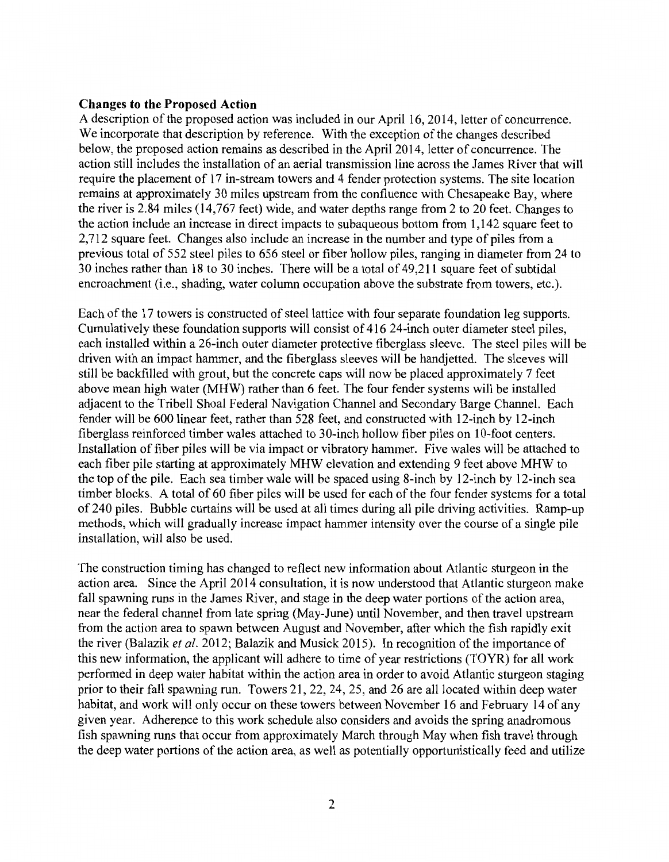### **Changes to the Proposed Action**

A description of the proposed action was included in our April 16, 2014, letter of concurrence. We incorporate that description by reference. With the exception of the changes described below, the proposed action remains as described in the April 2014, letter of concurrence. The action still includes the installation of an aerial transmission line across the James River that will require the placement of 17 in-stream towers and 4 fender protection systems. The site location remains at approximately 30 miles upstream from the confluence with Chesapeake Bay, where the river is 2.84 miles (14,767 feet) wide, and water depths range from 2 to 20 feet. Changes to the action include an increase in direct impacts to subaqueous bottom from 1, 142 square feet to 2,712 square feet. Changes also include an increase in the number and type of piles from a previous total of 552 steel piles to 656 steel or fiber hollow piles, ranging in diameter from 24 to 30 inches rather than 18 to 30 inches. There will be a total of 49,211 square feet of subtidal encroachment (i.e., shading, water column occupation above the substrate from towers, etc.).

Each of the 17 towers is constructed of steel lattice with four separate foundation leg supports. Cumulatively these foundation supports will consist of 416 24-inch outer diameter steel piles, each installed within a 26-inch outer diameter protective fiberglass sleeve. The steel piles will be driven with an impact hammer, and the fiberglass sleeves will be handjetted. The sleeves will still be backfilled with grout, but the concrete caps will now be placed approximately 7 feet above mean high water (MHW) rather than 6 feet. The four fender systems will be installed adjacent to the Tribell Shoal Federal Navigation Channel and Secondary Barge Channel. Each fender will be 600 linear feet, rather than 528 feet, and constructed with 12-inch by 12-inch fiberglass reinforced timber wales attached to 30-inch hollow fiber piles on 10-foot centers. Installation of fiber piles will be via impact or vibratory hammer. Five wales will be attached to each fiber pile starting at approximately MHW elevation and extending 9 feet above MHW to the top of the pile. Each sea timber wale will be spaced using 8-inch by 12-inch by 12-inch sea timber blocks. A total of 60 fiber piles will be used for each of the four fender systems for a total of 240 piles. Bubble curtains will be used at all times during all pile driving activities. Ramp-up methods, which will gradually increase impact hammer intensity over the course of a single pile installation, will also be used.

The construction timing has changed to reflect new information about Atlantic sturgeon in the action area. Since the April 2014 consultation, it is now understood that Atlantic sturgeon make fall spawning runs in the James River, and stage in the deep water portions of the action area, near the federal channel from late spring (May-June) until November, and then travel upstream from the action area to spawn between August and November, after which the fish rapidly exit the river (Balazik *et al.* 2012; Balazik and Musick 2015). In recognition of the importance of this new information, the applicant will adhere to time of year restrictions (TOYR) for all work performed in deep water habitat within the action area in order to avoid Atlantic sturgeon staging prior to their fall spawning run. Towers 21, 22, 24, 25, and 26 are all located within deep water habitat, and work will only occur on these towers between November 16 and February 14 of any given year. Adherence to this work schedule also considers and avoids the spring anadromous fish spawning runs that occur from approximately March through May when fish travel through the deep water portions of the action area, as well as potentially opportunistically feed and utilize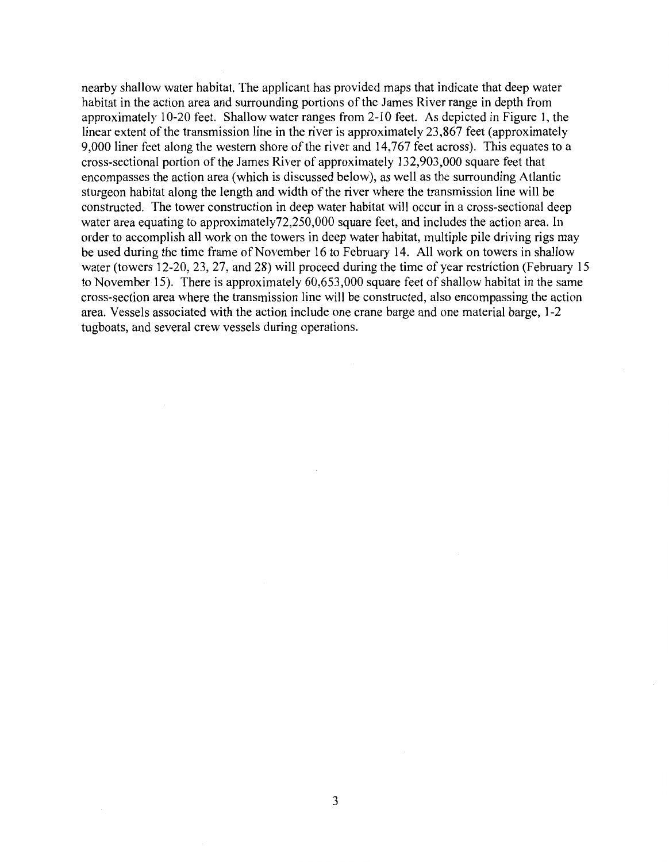nearby shallow water habitat. The applicant has provided maps that indicate that deep water habitat in the action area and surrounding portions of the James River range in depth from approximately 10-20 feet. Shallow water ranges from 2-10 feet. As depicted in Figure 1, the linear extent of the transmission line in the river is approximately 23,867 feet (approximately 9,000 liner feet along the western shore of the river and 14,767 feet across). This equates to a cross-sectional portion of the James River of approximately 132,903,000 square feet that encompasses the action area (which is discussed below), as well as the surrounding Atlantic sturgeon habitat along the length and width of the river where the transmission line will be constructed. The tower construction in deep water habitat will occur in a cross-sectional deep water area equating to approximately72,250,000 square feet, and includes the action area. In order to accomplish all work on the towers in deep water habitat, multiple pile driving rigs may be used during the time frame of November 16 to February 14. All work on towers in shallow water (towers 12-20, 23, 27, and 28) will proceed during the time of year restriction (February 15 to November 15). There is approximately 60,653,000 square feet of shallow habitat in the same cross-section area where the transmission line will be constructed, also encompassing the action area. Vessels associated with the action include one crane barge and one material barge, 1-2 tugboats, and several crew vessels during operations.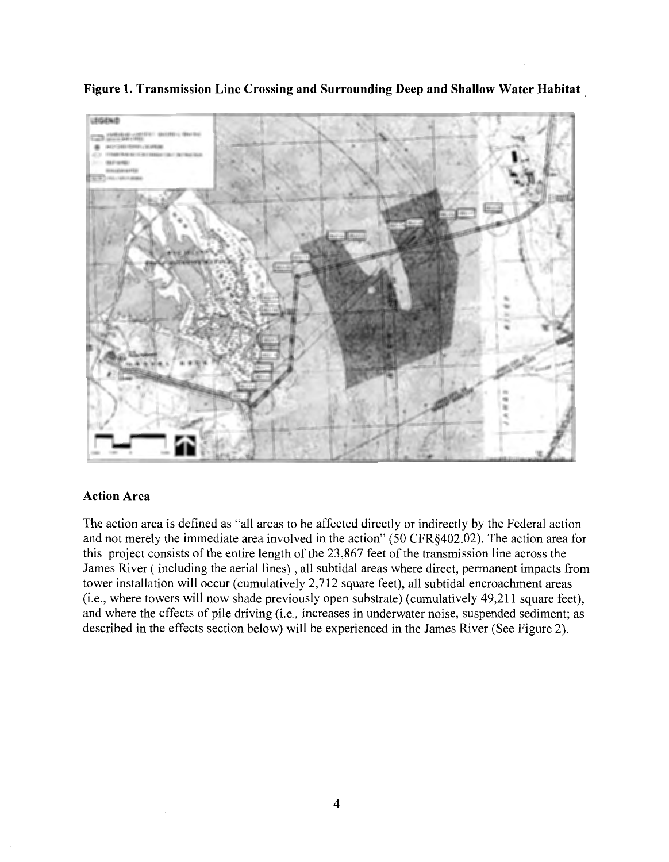

**Figure 1. Transmission Line Crossing and Surrounding Deep and Shallow Water Habitat** 

# **Action Area**

The action area is defined as "all areas to be affected directly or indirectly by the Federal action and not merely the immediate area involved in the action" (50 CFR§402.02). The action area for this project consists of the entire length of the 23,867 feet of the transmission line across the James River (including the aerial lines), all subtidal areas where direct, permanent impacts from tower installation will occur (cumulatively 2,712 square feet), all subtidal encroachment areas (i.e., where towers will now shade previously open substrate) (cumulatively 49,211 square feet), and where the effects of pile driving (i.e., increases in underwater noise, suspended sediment; as described in the effects section below) will be experienced in the James River (See Figure 2).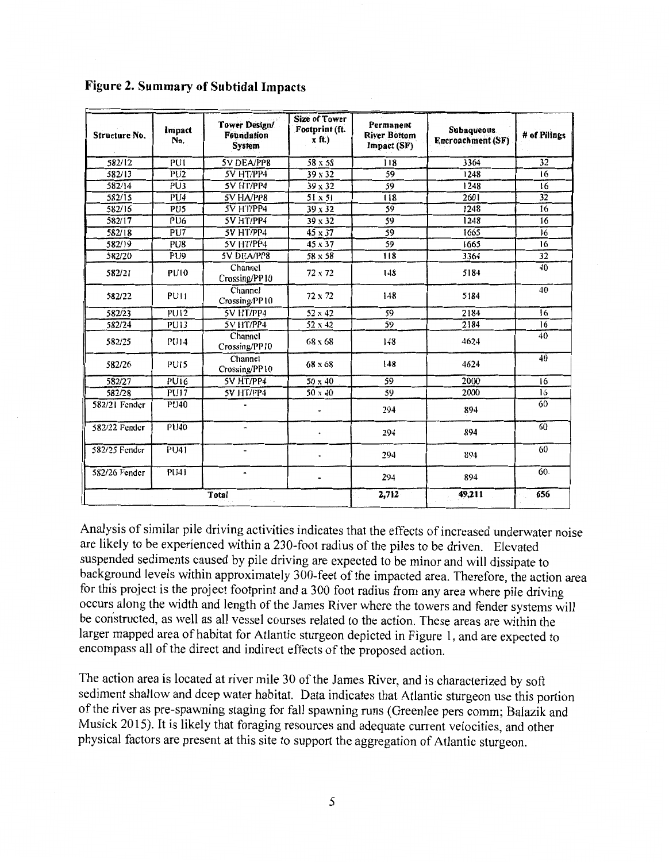| Structure No. | Impact<br>No.    | Tower Design/<br><b>Foundation</b><br><b>System</b> | <b>Size of Tower</b><br>Footprint (ft.<br>$x$ ft.) | Permanent<br><b>River Bottom</b><br>Impact (SF) | <b>Subaqueous</b><br><b>Encroachment (SF)</b> | # of Pilings |
|---------------|------------------|-----------------------------------------------------|----------------------------------------------------|-------------------------------------------------|-----------------------------------------------|--------------|
| 582/12        | PU1              | 5V DEA/PP8                                          | 58 x 58                                            | 118                                             | 3364                                          | 32           |
| 582/13        | PU <sub>2</sub>  | 5V HT/PP4                                           | 39 x 32                                            | 59                                              | 1248                                          | 16           |
| 582/14        | $\overline{PU3}$ | 5V HT/PP4                                           | 39 x 32                                            | 59                                              | 1248                                          | 16           |
| 582/15        | PU <sub>4</sub>  | 5V HA/PP8                                           | $51 \times 51$                                     | 118                                             | 2601                                          | 32           |
| 582/16        | PU <sub>5</sub>  | 5V HT/PP4                                           | $39 \times 32$                                     | 59                                              | 1248                                          | 16           |
| 582/17        | PU <sub>6</sub>  | 5V HT/PP4                                           | 39 x 32                                            | 59                                              | 1248                                          | 16           |
| 582/18        | PU7              | 5V HT/PP4                                           | 45 x 37                                            | 59                                              | 1665                                          | 16           |
| 582/19        | PU8              | 5V HT/PP4                                           | 45 x 37                                            | 59                                              | 1665                                          | 16           |
| 582/20        | PU <sub>9</sub>  | 5V DEA/PP8                                          | 58 x 58                                            | 118                                             | 3364                                          | 32           |
| 582/21        | <b>PU10</b>      | Channel<br>Crossing/PP10                            | 72 x 72                                            | 148                                             | 5184                                          | 40           |
| 582/22        | PU <sub>1</sub>  | Channel<br>Crossing/PP10                            | 72 x 72                                            | 148                                             | 5184                                          | 40           |
| 582/23        | <b>PU12</b>      | <b>5V HT/PP4</b>                                    | 52 x 42                                            | 59                                              | 2184                                          | 16           |
| 582/24        | PU13             | 5V HT/PP4                                           | 52 x 42                                            | 59                                              | 2184                                          | 16           |
| 582/25        | <b>PU14</b>      | Channel<br>Crossing/PP10                            | 68 x 68                                            | 148                                             | 4624                                          | 40           |
| 582/26        | <b>PUIS</b>      | Channel<br>Crossing/PP10                            | $68 \times 68$                                     | 148                                             | 4624                                          | 40           |
| 582/27        | PU16             | SV HT/PP4                                           | $50 \times 40$                                     | 59                                              | 2000                                          | 16           |
| 582/28        | <b>PU17</b>      | 5V HT/PP4                                           | $50 \times 40$                                     | 59                                              | 2000                                          | 16           |
| 582/21 Fender | <b>PU40</b>      |                                                     |                                                    | 294                                             | 894                                           | 60           |
| 582/22 Fender | <b>PU40</b>      |                                                     |                                                    | 294                                             | 894                                           | 60           |
| 582/25 Fender | PU41             |                                                     |                                                    | 294                                             | 894                                           | 60           |
| 582/26 Fender | PU41             | $\blacksquare$                                      |                                                    | 294                                             | 894                                           | 60.          |
|               | Total            |                                                     |                                                    |                                                 | 49.211                                        | 656          |

# **Figure 2. Summary of Subtidal Impacts**

Analysis of similar pile driving activities indicates that the effects of increased underwater noise are likely to be experienced within a 230-foot radius of the piles to be driven. Elevated suspended sediments caused by pile driving are expected to be minor and will dissipate to background levels within approximately 300-feet of the impacted area. Therefore, the action area for this project is the project footprint and a 300 foot radius from any area where pile driving occurs along the width and length of the James River where the towers and fender systems will be constructed, as well as all vessel courses related to the action. These areas are within the larger mapped area of habitat for Atlantic sturgeon depicted in Figure 1, and are expected to encompass all of the direct and indirect effects of the proposed action.

The action area is located at river mile 30 of the James River, and is characterized by soft sediment shallow and deep water habitat. Data indicates that Atlantic sturgeon use this portion of the river as pre-spawning staging for fall spawning runs (Greenlee pers comm; Balazik and Musick 2015). It is likely that foraging resources and adequate current velocities, and other physical factors are present at this site to support the aggregation of Atlantic sturgeon.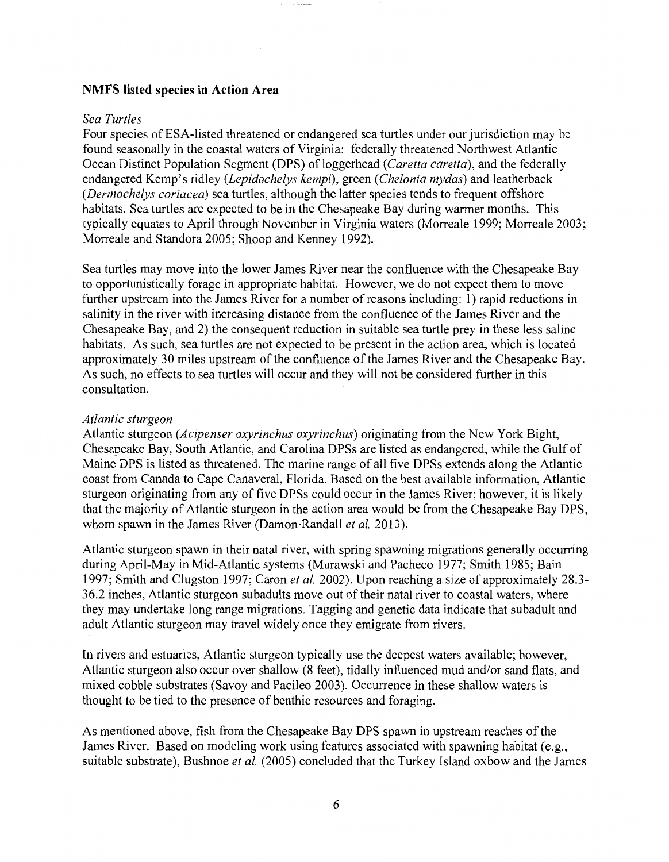### NMFS listed species in Action Area

#### *Sea Turtles*

Four species of ESA-listed threatened or endangered sea turtles under our jurisdiction may be found seasonally in the coastal waters of Virginia: federally threatened Northwest Atlantic Ocean Distinct Population Segment (DPS) of loggerhead *(Caretta caretta)*, and the federally endangered Kemp's ridley *(Lepidochelys kempi),* green *(Chelonia mydas)* and leatherback *(Dermochelys coriacea)* sea turtles, although the latter species tends to frequent offshore habitats. Sea turtles are expected to be in the Chesapeake Bay during warmer months. This typically equates to April through November in Virginia waters (Morreale 1999; Morreale 2003; Morreale and Standora 2005; Shoop and Kenney 1992).

Sea turtles may move into the lower James River near the confluence with the Chesapeake Bay to opportunistically forage in appropriate habitat. However, we do not expect them to move further upstream into the James River for a number of reasons including: 1) rapid reductions in salinity in the river with increasing distance from the confluence of the James River and the Chesapeake Bay, and 2) the consequent reduction in suitable sea turtle prey in these less saline habitats. As such, sea turtles are not expected to be present in the action area, which is located approximately 30 miles upstream of the confluence of the James River and the Chesapeake Bay. As such, no effects to sea turtles will occur and they will not be considered further in this consultation.

#### *Atlantic sturgeon*

Atlantic sturgeon *(Acipenser oxyrinchus oxyrinchus)* originating from the New York Bight, Chesapeake Bay, South Atlantic, and Carolina DPSs are listed as endangered, while the Gulf of Maine DPS is listed as threatened. The marine range of all five DPSs extends along the Atlantic coast from Canada to Cape Canaveral, Florida. Based on the best available information, Atlantic sturgeon originating from any of five DPSs could occur in the James River; however, it is likely that the majority of Atlantic sturgeon in the action area would be from the Chesapeake Bay DPS, whom spawn in the James River (Damon-Randall *et al.* 2013).

Atlantic sturgeon spawn in their natal river, with spring spawning migrations generally occurring during April-May in Mid-Atlantic systems (Murawski and Pacheco 1977; Smith 1985; Bain 1997; Smith and Clugston 1997; Caron *et al.* 2002). Upon reaching a size of approximately 28.3- 36.2 inches, Atlantic sturgeon subadults move out of their natal river to coastal waters, where they may undertake long range migrations. Tagging and genetic data indicate that subadult and adult Atlantic sturgeon may travel widely once they emigrate from rivers.

In rivers and estuaries, Atlantic sturgeon typically use the deepest waters available; however, Atlantic sturgeon also occur over shallow (8 feet), tidally influenced mud and/or sand flats, and mixed cobble substrates (Savoy and Pacileo 2003). Occurrence in these shallow waters is thought to be tied to the presence of benthic resources and foraging.

As mentioned above, fish from the Chesapeake Bay DPS spawn in upstream reaches of the James River. Based on modeling work using features associated with spawning habitat (e.g., suitable substrate), Bushnoe *et al.* (2005) concluded that the Turkey Island oxbow and the James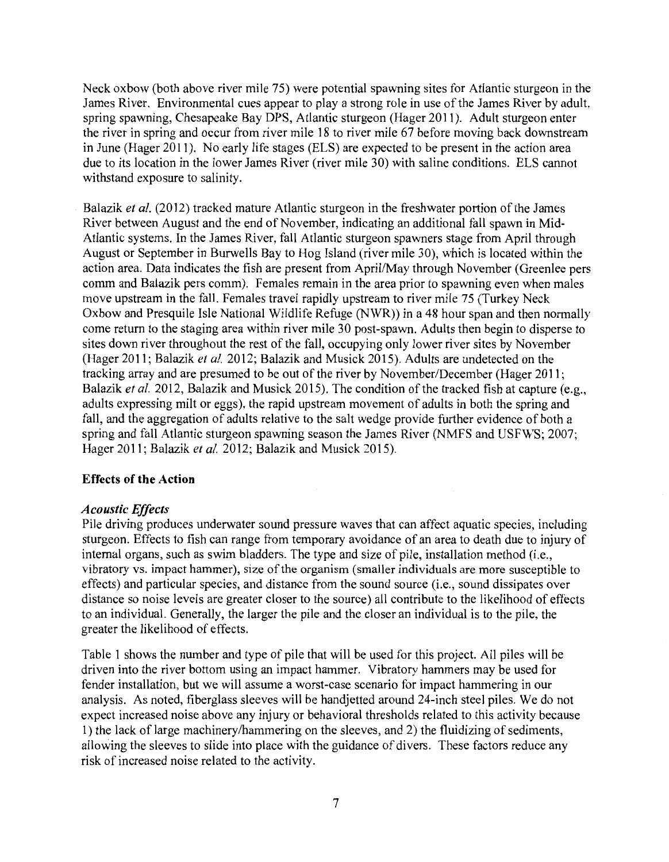Neck oxbow (both above river mile 75) were potential spawning sites for Atlantic sturgeon in the James River. Environmental cues appear to play a strong role in use of the James River by adult, spring spawning, Chesapeake Bay DPS, Atlantic sturgeon (Hager 2011 ). Adult sturgeon enter the river in spring and occur from river mile 18 to river mile 67 before moving back downstream in June (Hager 2011). No early life stages (ELS) are expected to be present in the action area due to its location in the lower James River (river mile 30) with saline conditions. ELS cannot withstand exposure to salinity.

Balazik *et al.* (2012) tracked mature Atlantic sturgeon in the freshwater portion of the James River between August and the end of November, indicating an additional fall spawn in Mid-Atlantic systems. In the James River, fall Atlantic sturgeon spawners stage from April through August or September in Burwells Bay to Hog Island (river mile 30), which is located within the action area. Data indicates the fish are present from April/May through November (Greenlee pers comm and Balazik pers comm). Females remain in the area prior to spawning even when males move upstream in the fall. Females travel rapidly upstream to river mile 75 (Turkey Neck Oxbow and Presquile Isle National Wildlife Refuge (NWR)) in a 48 hour span and then normally come return to the staging area within river mile 30 post-spawn. Adults then begin to disperse to sites down river throughout the rest of the fall, occupying only lower river sites by November (Hager 2011; Balazik *et al.* 2012; Balazik and Musick 2015). Adults are undetected on the tracking array and are presumed to be out of the river by November/December (Hager 2011; Balazik *et al.* 2012, Balazik and Musick 2015). The condition of the tracked fish at capture (e.g., adults expressing milt or eggs), the rapid upstream movement of adults in both the spring and fall, and the aggregation of adults relative to the salt wedge provide further evidence of both a spring and fall Atlantic sturgeon spawning season the James River (NMFS and USFWS; 2007; Hager 2011; Balazik *et al.* 2012; Balazik and Musick 2015).

# **Effects of the Action**

### *Acoustic Effects*

Pile driving produces underwater sound pressure waves that can affect aquatic species, including sturgeon. Effects to fish can range from temporary avoidance of an area to death due to injury of internal organs, such as swim bladders. The type and size of pile, installation method (i.e., vibratory vs. impact hammer), size of the organism (smaller individuals are more susceptible to effects) and particular species, and distance from the sound source (i.e., sound dissipates over distance so noise levels are greater closer to the source) all contribute to the likelihood of effects to an individual. Generally, the larger the pile and the closer an individual is to the pile, the greater the likelihood of effects.

Table 1 shows the number and type of pile that will be used for this project. All piles will be driven into the river bottom using an impact hammer. Vibratory hammers may be used for fender installation, but we will assume a worst-case scenario for impact hammering in our analysis. As noted, fiberglass sleeves will be handjetted around 24-inch steel piles. We do not expect increased noise above any injury or behavioral thresholds related to this activity because 1) the lack of large machinery/hammering on the sleeves, and 2) the fluidizing of sediments, allowing the sleeves to slide into place with the guidance of divers. These factors reduce any risk of increased noise related to the activity.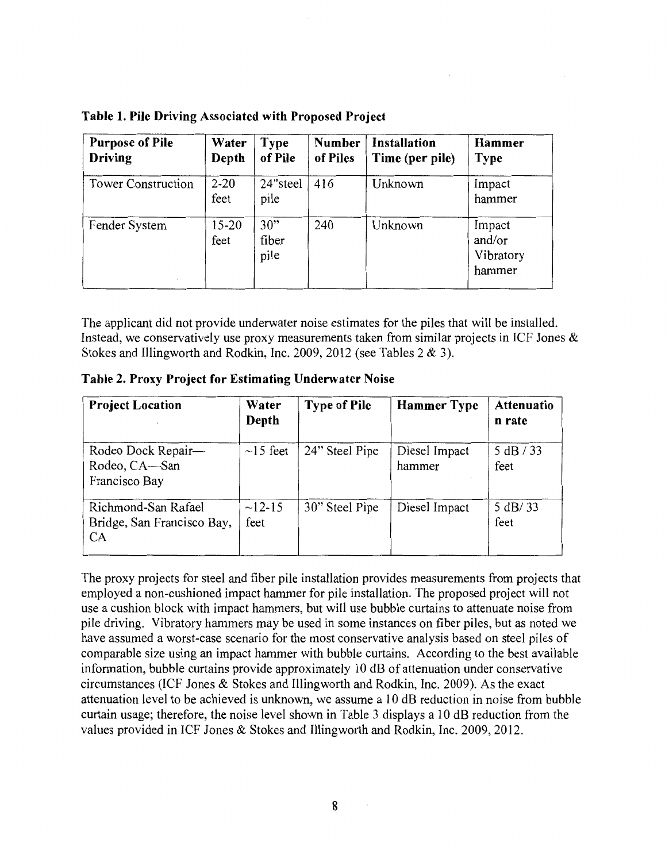| <b>Purpose of Pile</b><br>Driving | Water<br>Depth    | <b>Type</b><br>of Pile | <b>Number</b><br>of Piles | <b>Installation</b><br>Time (per pile) | Hammer<br><b>Type</b>                   |
|-----------------------------------|-------------------|------------------------|---------------------------|----------------------------------------|-----------------------------------------|
| <b>Tower Construction</b>         | $2 - 20$<br>feet  | 24"steel<br>pile       | 416                       | Unknown                                | Impact<br>hammer                        |
| Fender System                     | $15 - 20$<br>feet | 30"<br>fiber<br>pile   | 240                       | Unknown                                | Impact<br>and/or<br>Vibratory<br>hammer |

**Table 1. Pile Driving Associated with Proposed Project** 

The applicant did not provide underwater noise estimates for the piles that will be installed. Instead, we conservatively use proxy measurements taken from similar projects in ICF Jones  $\&$ Stokes and Illingworth and Rodkin, Inc. 2009, 2012 (see Tables 2 & 3).

**Table 2. Proxy Project for Estimating Underwater Noise** 

| <b>Project Location</b>                                        | Water<br>Depth     | <b>Type of Pile</b> | <b>Hammer Type</b>      | <b>Attenuatio</b><br>n rate |
|----------------------------------------------------------------|--------------------|---------------------|-------------------------|-----------------------------|
| Rodeo Dock Repair-<br>Rodeo, CA-San<br>Francisco Bay           | $\sim$ 15 feet     | 24" Steel Pipe      | Diesel Impact<br>hammer | 5 dB / 33<br>feet           |
| Richmond-San Rafael<br>Bridge, San Francisco Bay,<br><b>CA</b> | $~12 - 15$<br>feet | 30" Steel Pipe      | Diesel Impact           | 5 dB/33<br>feet             |

The proxy projects for steel and fiber pile installation provides measurements from projects that employed a non-cushioned impact hammer for pile installation. The proposed project will not use a cushion block with impact hammers, but will use bubble curtains to attenuate noise from pile driving. Vibratory hammers may be used in some instances on fiber piles, but as noted we have assumed a worst-case scenario for the most conservative analysis based on steel piles of comparable size using an impact hammer with bubble curtains. According to the best available information, bubble curtains provide approximately 10 dB of attenuation under conservative circumstances (ICF Jones & Stokes and Illingworth and Rodkin, Inc. 2009). As the exact attenuation level to be achieved is unknown, we assume a 10 dB reduction in noise from bubble curtain usage; therefore, the noise level shown in Table 3 displays a 10 dB reduction from the values provided in ICF Jones & Stokes and Illingworth and Rodkin, Inc. 2009, 2012.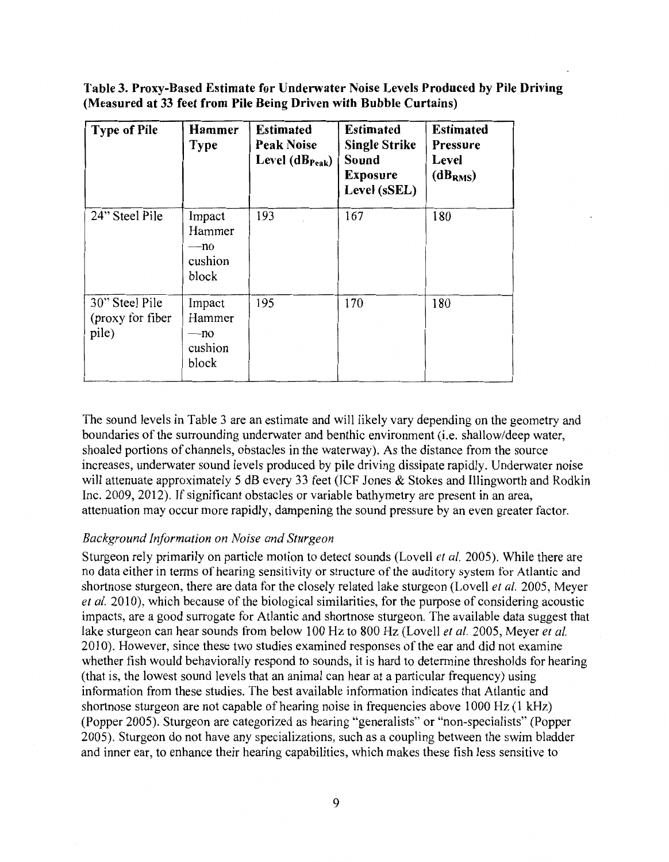**Table 3. Proxy-Based Estimate for Underwater Noise Levels Produced by Pile Driving (Measured at 33 feet from Pile Being Driven with Bubble Curtains)** 

| <b>Type of Pile</b>                         | Hammer<br>Type                              | <b>Estimated</b><br><b>Peak Noise</b><br>Level $(dB_{Peak})$ | <b>Estimated</b><br><b>Single Strike</b><br>Sound<br><b>Exposure</b><br>Level (sSEL) | <b>Estimated</b><br><b>Pressure</b><br>Level<br>(dB <sub>RMS</sub> ) |
|---------------------------------------------|---------------------------------------------|--------------------------------------------------------------|--------------------------------------------------------------------------------------|----------------------------------------------------------------------|
| 24" Steel Pile                              | Impact<br>Hammer<br>—no<br>cushion<br>block | 193                                                          | 167                                                                                  | 180                                                                  |
| 30" Steel Pile<br>(proxy for fiber<br>pile) | Impact<br>Hammer<br>—no<br>cushion<br>block | 195                                                          | 170                                                                                  | 180                                                                  |

The sound levels in Table 3 are an estimate and will likely vary depending on the geometry and boundaries of the surrounding underwater and benthic environment (i.e. shallow/deep water, shoaled portions of channels, obstacles in the waterway). As the distance from the source increases, underwater sound levels produced by pile driving dissipate rapidly. Underwater noise will attenuate approximately 5 dB every 33 feet (ICF Jones & Stokes and Illingworth and Rodkin Inc. 2009, 2012). If significant obstacles or variable bathymetry are present in an area, attenuation may occur more rapidly, dampening the sound pressure by an even greater factor.

# *Background Information on Noise and Sturgeon*

Sturgeon rely primarily on particle motion to detect sounds (Lovell *et al.* 2005). While there are no data either in terms of hearing sensitivity or structure of the auditory system for Atlantic and shortnose sturgeon, there are data for the closely related lake sturgeon (Lovell *et al.* 2005, Meyer *et al.* 2010), which because of the biological similarities, for the purpose of considering acoustic impacts, are a good surrogate for Atlantic and shortnose sturgeon. The available data suggest that lake sturgeon can hear sounds from below 100 Hz to 800 Hz (Lovell *et al.* 2005, Meyer *et al.*  2010). However, since these two studies examined responses of the ear and did not examine whether fish would behaviorally respond to sounds, it is hard to determine thresholds for hearing (that is, the lowest sound levels that an animal can hear at a particular frequency) using information from these studies. The best available information indicates that Atlantic and shortnose sturgeon are not capable of hearing noise in frequencies above 1000 Hz (1 kHz) (Popper 2005). Sturgeon are categorized as hearing "generalists" or "non-specialists" (Popper 2005). Sturgeon do not have any specializations, such as a coupling between the swim bladder and inner ear, to enhance their hearing capabilities, which makes these fish less sensitive to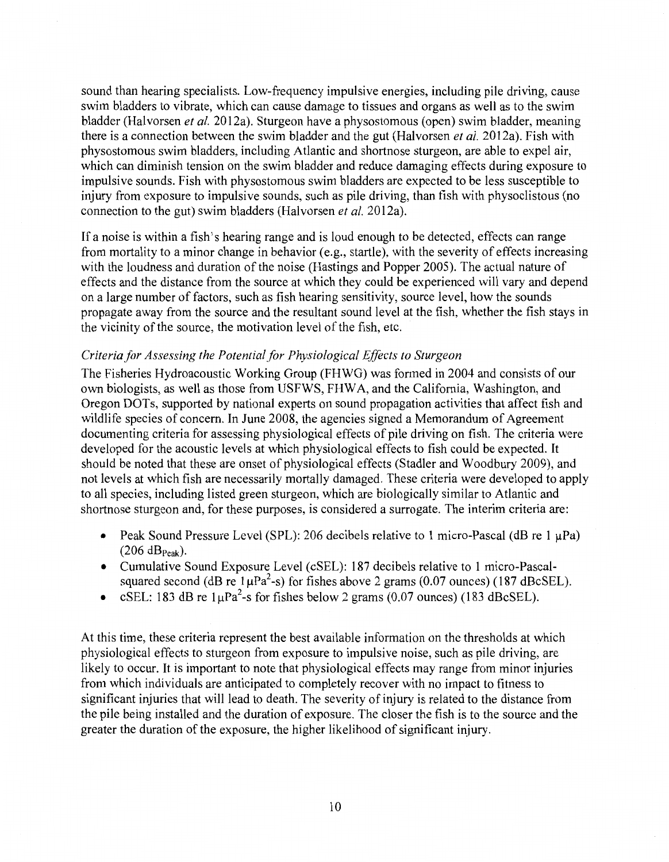sound than hearing specialists. Low-frequency impulsive energies, including pile driving, cause swim bladders to vibrate, which can cause damage to tissues and organs as well as to the swim bladder (Halvorsen *et al.* 2012a). Sturgeon have a physostomous (open) swim bladder, meaning there is a connection between the swim bladder and the gut (Halvorsen *et al.* 2012a). Fish with physostomous swim bladders, including Atlantic and shortnose sturgeon, are able to expel air, which can diminish tension on the swim bladder and reduce damaging effects during exposure to impulsive sounds. Fish with physostomous swim bladders are expected to be less susceptible to injury from exposure to impulsive sounds, such as pile driving, than fish with physoclistous (no connection to the gut) swim bladders (Halvorsen *et al.* 2012a).

If a noise is within a fish's hearing range and is loud enough to be detected, effects can range from mortality to a minor change in behavior (e.g., startle), with the severity of effects increasing with the loudness and duration of the noise (Hastings and Popper 2005). The actual nature of effects and the distance from the source at which they could be experienced will vary and depend on a large number of factors, such as fish hearing sensitivity, source level, how the sounds propagate away from the source and the resultant sound level at the fish, whether the fish stays in the vicinity of the source, the motivation level of the fish, etc.

### *Criteria/or Assessing the Potential for Physiological Effects to Sturgeon*

The Fisheries Hydroacoustic Working Group (FHWG) was formed in 2004 and consists of our own biologists, as well as those from USFWS, FHW A, and the California, Washington, and Oregon DOTs, supported by national experts on sound propagation activities that affect fish and wildlife species of concern. In June 2008, the agencies signed a Memorandum of Agreement documenting criteria for assessing physiological effects of pile driving on fish. The criteria were developed for the acoustic levels at which physiological effects to fish could be expected. It should be noted that these are onset of physiological effects (Stadler and Woodbury 2009), and not levels at which fish are necessarily mortally damaged. These criteria were developed to apply to all species, including listed green sturgeon, which are biologically similar to Atlantic and shortnose sturgeon and, for these purposes, is considered a surrogate. The interim criteria are:

- Peak Sound Pressure Level (SPL): 206 decibels relative to 1 micro-Pascal (dB re 1  $\mu$ Pa)  $(206 dB_{Peak}).$
- Cumulative Sound Exposure Level (cSEL): 187 decibels relative to 1 micro-Pascalsquared second (dB re  $1\mu\text{Pa}^2$ -s) for fishes above 2 grams (0.07 ounces) (187 dBcSEL).
- cSEL: 183 dB re  $1\mu\text{Pa}^2$ -s for fishes below 2 grams (0.07 ounces) (183 dBcSEL).

At this time, these criteria represent the best available information on the thresholds at which physiological effects to sturgeon from exposure to impulsive noise, such as pile driving, are likely to occur. It is important to note that physiological effects may range from minor injuries from which individuals are anticipated to completely recover with no impact to fitness to significant injuries that will lead to death. The severity of injury is related to the distance from the pile being installed and the duration of exposure. The closer the fish is to the source and the greater the duration of the exposure, the higher likelihood of significant injury.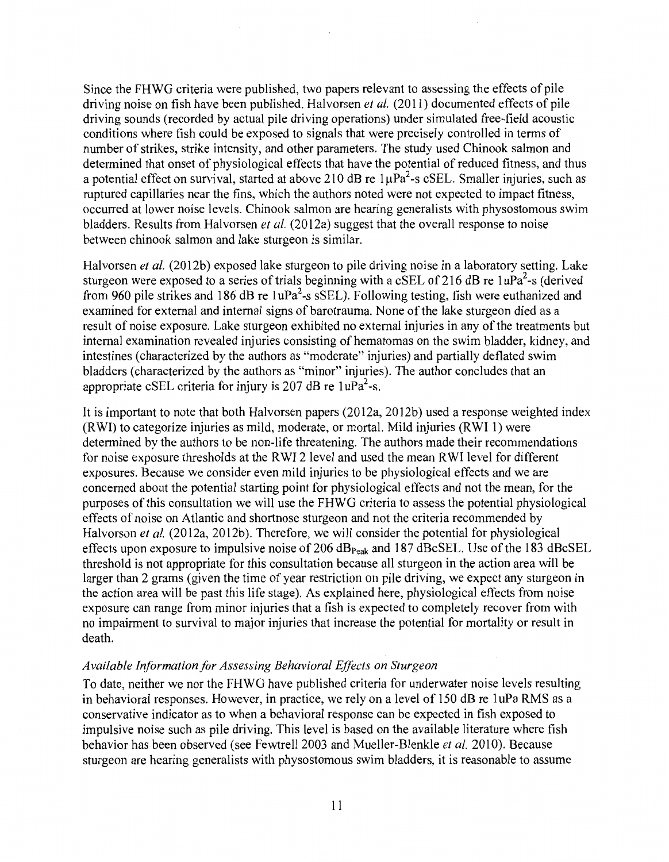Since the FHWG criteria were published, two papers relevant to assessing the effects of pile driving noise on fish have been published. Halvorsen *et al.* (2011) documented effects of pile driving sounds (recorded by actual pile driving operations) under simulated free-field acoustic conditions where fish could be exposed to signals that were precisely controlled in terms of number of strikes, strike intensity, and other parameters. The study used Chinook salmon and determined that onset of physiological effects that have the potential of reduced fitness, and thus a potential effect on survival, started at above 210 dB re  $1\mu\text{Pa}^2$ -s cSEL. Smaller injuries, such as ruptured capillaries near the fins, which the authors noted were not expected to impact fitness, occurred at lower noise levels. Chinook salmon are hearing generalists with physostomous swim bladders. Results from Halvorsen *et al.* (2012a) suggest that the overall response to noise between chinook salmon and lake sturgeon is similar.

Halvorsen *et al.* (2012b) exposed lake sturgeon to pile driving noise in a laboratory setting. Lake sturgeon were exposed to a series of trials beginning with a cSEL of 216 dB re  $1uPa<sup>2</sup>$ -s (derived from 960 pile strikes and 186 dB re  $1uPa<sup>2</sup>$ -s sSEL). Following testing, fish were euthanized and examined for external and internal signs of barotrauma. None of the lake sturgeon died as a result of noise exposure. Lake sturgeon exhibited no external injuries in any of the treatments but internal examination revealed injuries consisting of hematomas on the swim bladder, kidney, and intestines (characterized by the authors as "moderate" injuries) and partially deflated swim bladders (characterized by the authors as "minor" injuries). The author concludes that an appropriate cSEL criteria for injury is 207 dB re  $1uPa<sup>2</sup>$ -s.

It is important to note that both Halvorsen papers (2012a, 2012b) used a response weighted index (RWI) to categorize injuries as mild, moderate, or mortal. Mild injuries (RWI 1) were determined by the authors to be non-life threatening. The authors made their recommendations for noise exposure thresholds at the RWI 2 level and used the mean RWI level for different exposures. Because we consider even mild injuries to be physiological effects and we are concerned about the potential starting point for physiological effects and not the mean, for the purposes of this consultation we will use the FHWG criteria to assess the potential physiological effects of noise on Atlantic and shortnose sturgeon and not the criteria recommended by Halvorson *et al.* (2012a, 2012b). Therefore, we will consider the potential for physiological effects upon exposure to impulsive noise of 206 dB<sub>Peak</sub> and 187 dBcSEL. Use of the 183 dBcSEL threshold is not appropriate for this consultation because all sturgeon in the action area will be larger than 2 grams (given the time of year restriction on pile driving, we expect any sturgeon in the action area will be past this life stage). As explained here, physiological effects from noise exposure can range from minor injuries that a fish is expected to completely recover from with no impairment to survival to major injuries that increase the potential for mortality or result in death.

### *Available Information for Assessing Behavioral Effects on Sturgeon*

To date, neither we nor the FHWG have published criteria for underwater noise levels resulting in behavioral responses. However, in practice, we rely on a level of 150 dB re 1 uPa RMS as a conservative indicator as to when a behavioral response can be expected in fish exposed to impulsive noise such as pile driving. This level is based on the available literature where fish behavior has been observed (see Fewtrell 2003 and Mueller-Blenkle *et al.* 2010). Because sturgeon are hearing generalists with physostomous swim bladders, it is reasonable to assume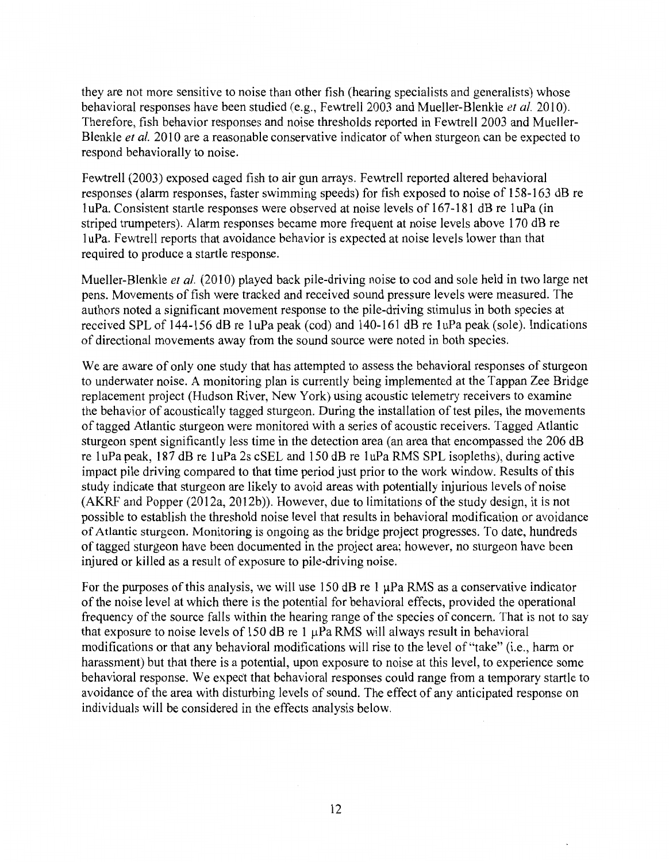they are not more sensitive to noise than other fish (hearing specialists and generalists) whose behavioral responses have been studied (e.g., Fewtrell 2003 and Mueller-Blenkle *et al.* 2010). Therefore, fish behavior responses and noise thresholds reported in Fewtrell 2003 and Mueller-Blenkle *et al.* 2010 are a reasonable conservative indicator of when sturgeon can be expected to respond behaviorally to noise.

Fewtrell (2003) exposed caged fish to air gun arrays. Fewtrell reported altered behavioral responses (alarm responses, faster swimming speeds) for fish exposed to noise of 158-163 dB re 1 uPa. Consistent startle responses were observed at noise levels of 167-181 dB re 1 uPa (in striped trumpeters). Alarm responses became more frequent at noise levels above 170 dB re 1 uPa. Fewtrell reports that avoidance behavior is expected at noise levels lower than that required to produce a startle response.

Mueller-Blenkle *et al.* (2010) played back pile-driving noise to cod and sole held in two large net pens. Movements of fish were tracked and received sound pressure levels were measured. The authors noted a significant movement response to the pile-driving stimulus in both species at received SPL of 144-156 dB re 1uPa peak (cod) and 140-161 dB re 1uPa peak (sole). Indications of directional movements away from the sound source were noted in both species.

We are aware of only one study that has attempted to assess the behavioral responses of sturgeon to underwater noise. A monitoring plan is currently being implemented at the Tappan Zee Bridge replacement project (Hudson River, New York) using acoustic telemetry receivers to examine the behavior of acoustically tagged sturgeon. During the installation of test piles, the movements of tagged Atlantic sturgeon were monitored with a series of acoustic receivers. Tagged Atlantic sturgeon spent significantly less time in the detection area (an area that encompassed the 206 dB re 1 uPa peak, 187 dB re 1 uPa 2s cSEL and 150 dB re 1 uPa RMS SPL isopleths), during active impact pile driving compared to that time period just prior to the work window. Results of this study indicate that sturgeon are likely to avoid areas with potentially injurious levels of noise (AKRF and Popper (2012a, 2012b)). However, due to limitations of the study design, it is not possible to establish the threshold noise level that results in behavioral modification or avoidance of Atlantic sturgeon. Monitoring is ongoing as the bridge project progresses. To date, hundreds of tagged sturgeon have been documented in the project area; however, no sturgeon have been injured or killed as a result of exposure to pile-driving noise.

For the purposes of this analysis, we will use 150 dB re 1  $\mu$ Pa RMS as a conservative indicator of the noise level at which there is the potential for behavioral effects, provided the operational frequency of the source falls within the hearing range of the species of concern. That is not to say that exposure to noise levels of 150 dB re 1  $\mu$ Pa RMS will always result in behavioral modifications or that any behavioral modifications will rise to the level of "take" (i.e., harm or harassment) but that there is a potential, upon exposure to noise at this level, to experience some behavioral response. We expect that behavioral responses could range from a temporary startle to avoidance of the area with disturbing levels of sound. The effect of any anticipated response on individuals will be considered in the effects analysis below.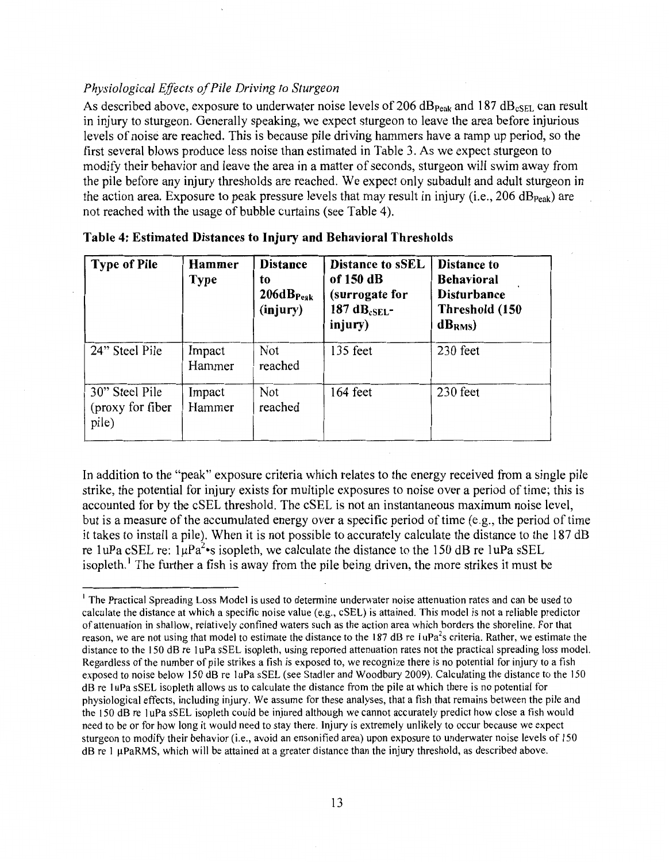# *Physiological Effects of Pile Driving to Sturgeon*

As described above, exposure to underwater noise levels of 206 dB<sub>Peak</sub> and 187 dB<sub>cSEL</sub> can result in injury to sturgeon. Generally speaking, we expect sturgeon to leave the area before injurious levels of noise are reached. This is because pile driving hammers have a ramp up period, so the first several blows produce less noise than estimated in Table 3. As we expect sturgeon to modify their behavior and leave the area in a matter of seconds, sturgeon will swim away from the pile before any injury thresholds are reached. We expect only subadult and adult sturgeon in the action area. Exposure to peak pressure levels that may result in injury (i.e., 206 dB<sub>Peak</sub>) are not reached with the usage of bubble curtains (see Table 4).

| <b>Type of Pile</b>                         | Hammer<br><b>Type</b> | <b>Distance</b><br>to<br>206dB <sub>Peak</sub><br>(injury) | <b>Distance to sSEL</b><br>of 150 dB<br>(surrogate for<br>187 d $B_{cSEL}$ -<br>injury) | <b>Distance to</b><br><b>Behavioral</b><br><b>Disturbance</b><br>Threshold (150<br>$dB_{RMS}$ |
|---------------------------------------------|-----------------------|------------------------------------------------------------|-----------------------------------------------------------------------------------------|-----------------------------------------------------------------------------------------------|
| 24" Steel Pile                              | Impact<br>Hammer      | Not<br>reached                                             | 135 feet                                                                                | 230 feet                                                                                      |
| 30" Steel Pile<br>(proxy for fiber<br>pile) | Impact<br>Hammer      | Not<br>reached                                             | 164 feet                                                                                | 230 feet                                                                                      |

| Table 4: Estimated Distances to Injury and Behavioral Thresholds |  |  |  |  |
|------------------------------------------------------------------|--|--|--|--|
|------------------------------------------------------------------|--|--|--|--|

In addition to the "peak" exposure criteria which relates to the energy received from a single pile strike, the potential for injury exists for multiple exposures to noise over a period of time; this is accounted for by the cSEL threshold. The cSEL is not an instantaneous maximum noise level, but is a measure of the accumulated energy over a specific period of time (e.g., the period of time it takes to install a pile). When it is not possible to accurately calculate the distance to the 187 dB re 1 uPa cSEL re:  $1\mu Pa^2$  is isopleth, we calculate the distance to the 150 dB re 1 uPa sSEL isopleth.<sup>1</sup> The further a fish is away from the pile being driven, the more strikes it must be

<sup>&</sup>lt;sup>1</sup> The Practical Spreading Loss Model is used to determine underwater noise attenuation rates and can be used to calculate the distance at which a specific noise value (e.g., cSEL) is attained. This model is not a reliable predictor of attenuation in shallow, relatively confined waters such as the action area which borders the shoreline. For that reason, we are not using that model to estimate the distance to the 187 dB re 1uPa<sup>2</sup>s criteria. Rather, we estimate the distance to the 150 dB re 1uPa sSEL isopleth, using reported attenuation rates not the practical spreading loss model. Regardless of the number of pile strikes a fish is exposed to, we recognize there is no potential for injury to a fish exposed to noise below 150 dB re I uPa sSEL (see Stadler and Woodbury 2009). Calculating the distance to the 150 dB re I uPa sSEL isopleth allows us to calculate the distance from the pile at which there is no potential for physiological effects, including injury. We assume for these analyses, that a fish that remains between the pile and the 150 dB re I uPa sSEL isopleth could be injured although we cannot accurately predict how close a fish would need to be or for how long it would need to stay there. Injury is extremely unlikely to occur because we expect sturgeon to modify their behavior (i.e., avoid an ensonified area) upon exposure to underwater noise levels of 150 dB re I µPaRMS, which will be attained at a greater distance than the injury threshold, as described above.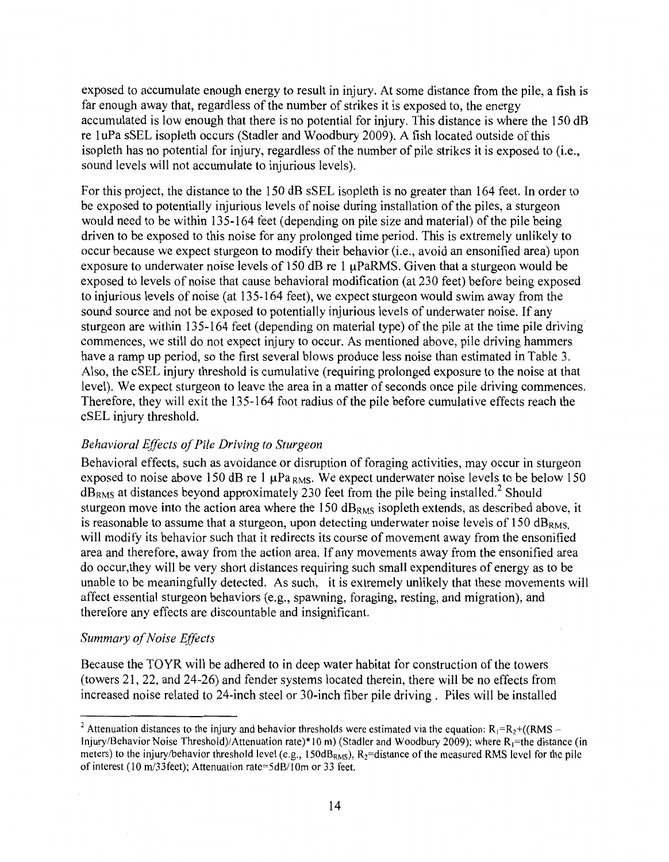exposed to accumulate enough energy to result in injury. At some distance from the pile, a fish is far enough away that, regardless of the number of strikes it is exposed to, the energy accumulated is low enough that there is no potential for injury. This distance is where the 150 dB re 1 uPa sSEL isopleth occurs (Stadler and Woodbury 2009). A fish located outside of this isopleth has no potential for injury, regardless of the number of pile strikes it is exposed to (i.e., sound levels will not accumulate to injurious levels).

For this project, the distance to the 150 dB sSEL isopleth is no greater than 164 feet. In order to be exposed to potentially injurious levels of noise during installation of the piles, a sturgeon would need to be within 135-164 feet (depending on pile size and material) of the pile being driven to be exposed to this noise for any prolonged time period. This is extremely unlikely to occur because we expect sturgeon to modify their behavior (i.e., avoid an ensonified area) upon exposure to underwater noise levels of 150 dB re 1 µPaRMS. Given that a sturgeon would be exposed to levels of noise that cause behavioral modification (at 230 feet) before being exposed to injurious levels of noise (at 135-164 feet), we expect sturgeon would swim away from the sound source and not be exposed to potentially injurious levels of underwater noise. If any sturgeon are within 135-164 feet (depending on material type) of the pile at the time pile driving commences, we still do not expect injury to occur. As mentioned above, pile driving hammers have a ramp up period, so the first several blows produce less noise than estimated in Table 3. Also, the cSEL injury threshold is cumulative (requiring prolonged exposure to the noise at that level). We expect sturgeon to leave the area in a matter of seconds once pile driving commences. Therefore, they will exit the 135-164 foot radius of the pile before cumulative effects reach the cSEL injury threshold.

# *Behavioral Effects of Pile Driving to Sturgeon*

Behavioral effects, such as avoidance or disruption of foraging activities, may occur in sturgeon exposed to noise above 150 dB re 1  $\mu$ Pa <sub>RMS</sub>. We expect underwater noise levels to be below 150  $dB<sub>RMS</sub>$  at distances beyond approximately 230 feet from the pile being installed.<sup>2</sup> Should sturgeon move into the action area where the  $150 \text{ dB}_{RMS}$  isopleth extends, as described above, it is reasonable to assume that a sturgeon, upon detecting underwater noise levels of 150  $dB<sub>RMS</sub>$ will modify its behavior such that it redirects its course of movement away from the ensonified area and therefore, away from the action area. If any movements away from the ensonified area do occur,they will be very short distances requiring such small expenditures of energy as to be unable to be meaningfully detected. As such, it is extremely unlikely that these movements will affect essential sturgeon behaviors (e.g., spawning, foraging, resting, and migration), and therefore any effects are discountable and insignificant.

# *Summary of Noise Effects*

Because the TO YR will be adhered to in deep water habitat for construction of the towers (towers 21, 22, and 24-26) and fender systems located therein, there will be no effects from increased noise related to 24-inch steel or 30-inch fiber pile driving . Piles will be installed

<sup>&</sup>lt;sup>2</sup> Attenuation distances to the injury and behavior thresholds were estimated via the equation:  $R_1=R_2+(RMS -$ Injury/Behavior Noise Threshold)/Attenuation rate)\*10 m) (Stadler and Woodbury 2009); where R<sub>1</sub>=the distance (in meters) to the injury/behavior threshold level (e.g., 150dB<sub>RMS</sub>),  $R_2$ =distance of the measured RMS level for the pile of interest (10 m/33feet); Attenuation rate=5d8/10m or 33 feet.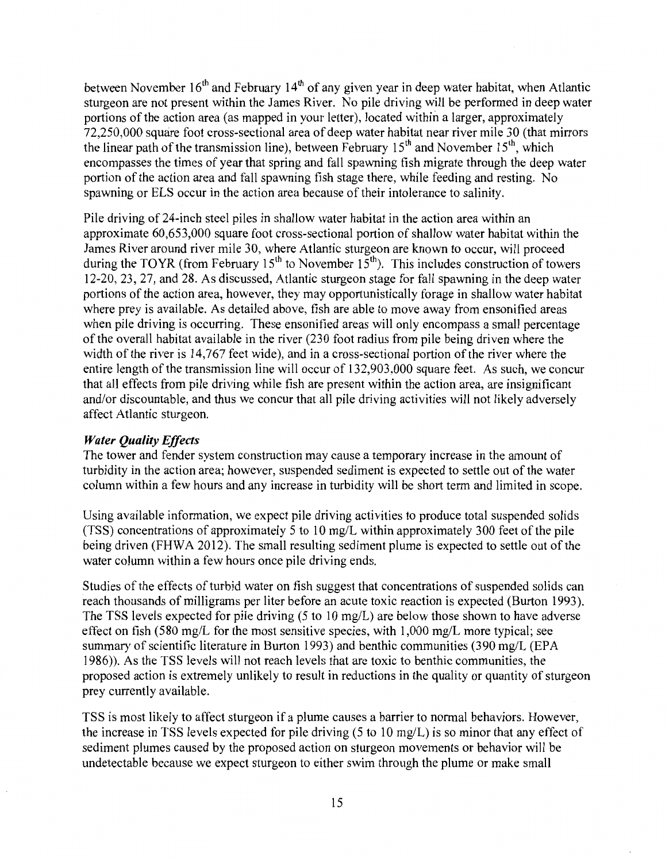between November  $16<sup>th</sup>$  and February  $14<sup>th</sup>$  of any given year in deep water habitat, when Atlantic sturgeon are not present within the James River. No pile driving will be performed in deep water portions of the action area (as mapped in your letter), located within a larger, approximately 72,250,000 square foot cross-sectional area of deep water habitat near river mile 30 (that mirrors the linear path of the transmission line), between February  $15<sup>th</sup>$  and November  $15<sup>th</sup>$ , which encompasses the times of year that spring and fall spawning fish migrate through the deep water portion of the action area and fall spawning fish stage there, while feeding and resting. No spawning or ELS occur in the action area because of their intolerance to salinity.

Pile driving of 24-inch steel piles in shallow water habitat in the action area within an approximate 60,653,000 square foot cross-sectional portion of shallow water habitat within the James River around river mile 30, where Atlantic sturgeon are known to occur, will proceed during the TOYR (from February 15<sup>th</sup> to November 15<sup>th</sup>). This includes construction of towers 12-20, 23, 27, and 28. As discussed, Atlantic sturgeon stage for fall spawning in the deep water portions of the action area, however, they may opportunistically forage in shallow water habitat where prey is available. As detailed above, fish are able to move away from ensonified areas when pile driving is occurring. These ensonified areas will only encompass a small percentage of the overall habitat available in the river (230 foot radius from pile being driven where the width of the river is 14,767 feet wide), and in a cross-sectional portion of the river where the entire length of the transmission line will occur of 132,903,000 square feet. As such, we concur that all effects from pile driving while fish are present within the action area, are insignificant and/or discountable, and thus we concur that all pile driving activities will not likely adversely affect Atlantic sturgeon.

# *Water Quality Effects*

The tower and fender system construction may cause a temporary increase in the amount of turbidity in the action area; however, suspended sediment is expected to settle out of the water column within a few hours and any increase in turbidity will be short term and limited in scope.

Using available information, we expect pile driving activities to produce total suspended solids (TSS) concentrations of approximately 5 to 10 mg/L within approximately 300 feet of the pile being driven (FHWA 2012). The small resulting sediment plume is expected to settle out of the water column within a few hours once pile driving ends.

Studies of the effects of turbid water on fish suggest that concentrations of suspended solids can reach thousands of milligrams per liter before an acute toxic reaction is expected (Burton 1993 ). The TSS levels expected for pile driving (5 to 10 mg/L) are below those shown to have adverse effect on fish (580 mg/L for the most sensitive species, with 1,000 mg/L more typical; see summary of scientific literature in Burton 1993) and benthic communities (390 mg/L (EPA 1986)). As the TSS levels will not reach levels that are toxic to benthic communities, the proposed action is extremely unlikely to result in reductions in the quality or quantity of sturgeon prey currently available.

TSS is most likely to affect sturgeon if a plume causes a barrier to normal behaviors. However, the increase in TSS levels expected for pile driving (5 to 10 mg/L) is so minor that any effect of sediment plumes caused by the proposed action on sturgeon movements or behavior will be undetectable because we expect sturgeon to either swim through the plume or make small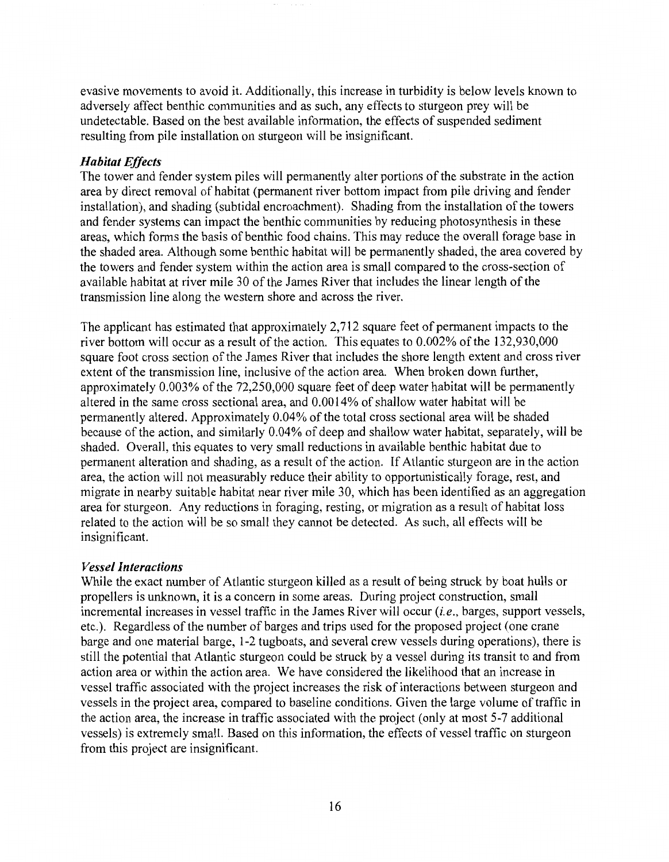evasive movements to avoid it. Additionally, this increase in turbidity is below levels known to adversely affect benthic communities and as such, any effects to sturgeon prey will be undetectable. Based on the best available information, the effects of suspended sediment resulting from pile installation on sturgeon will be insignificant.

### *Habitat Effects*

The tower and fender system piles will permanently alter portions of the substrate in the action area by direct removal of habitat (permanent river bottom impact from pile driving and fender installation), and shading (subtidal encroachment). Shading from the installation of the towers and fender systems can impact the benthic communities by reducing photosynthesis in these areas, which forms the basis of benthic food chains. This may reduce the overall forage base in the shaded area. Although some benthic habitat will be permanently shaded, the area covered by the towers and fender system within the action area is small compared to the cross-section of available habitat at river mile 30 of the James River that includes the linear length of the transmission line along the western shore and across the river.

The applicant has estimated that approximately 2,712 square feet of permanent impacts to the river bottom will occur as a result of the action. This equates to 0.002% of the 132,930,000 square foot cross section of the James River that includes the shore length extent and cross river extent of the transmission line, inclusive of the action area. When broken down further, approximately 0.003% of the 72,250,000 square feet of deep water habitat will be permanently altered in the same cross sectional area, and 0.0014% of shallow water habitat will be permanently altered. Approximately 0.04% of the total cross sectional area will be shaded because of the action, and similarly 0.04% of deep and shallow water habitat, separately, will be shaded. Overall, this equates to very small reductions in available benthic habitat due to permanent alteration and shading, as a result of the action. If Atlantic sturgeon are in the action area, the action will not measurably reduce their ability to opportunistically forage, rest, and migrate in nearby suitable habitat near river mile 30, which has been identified as an aggregation area for sturgeon. Any reductions in foraging, resting, or migration as a result of habitat loss related to the action will be so small they cannot be detected. As such, all effects will be insignificant.

### *Vessel Interactions*

While the exact number of Atlantic sturgeon killed as a result of being struck by boat hulls or propellers is unknown, it is a concern in some areas. During project construction, small incremental increases in vessel traffic in the James River will occur  $(i.e.,$  barges, support vessels, etc.). Regardless of the number of barges and trips used for the proposed project (one crane barge and one material barge, 1-2 tugboats, and several crew vessels during operations), there is still the potential that Atlantic sturgeon could be struck by a vessel during its transit to and from action area or within the action area. We have considered the likelihood that an increase in vessel traffic associated with the project increases the risk of interactions between sturgeon and vessels in the project area, compared to baseline conditions. Given the large volume of traffic in the action area, the increase in traffic associated with the project (only at most 5-7 additional vessels) is extremely small. Based on this information, the effects of vessel traffic on sturgeon from this project are insignificant.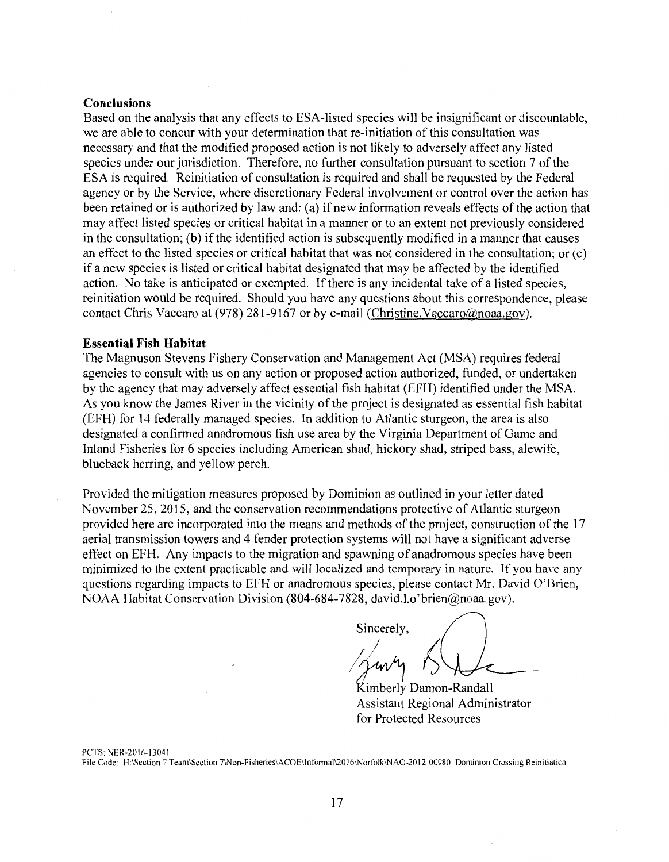### **Conclusions**

Based on the analysis that any effects to ESA-listed species will be insignificant or discountable, we are able to concur with your determination that re-initiation of this consultation was necessary and that the modified proposed action is not likely to adversely affect any listed species under our jurisdiction. Therefore, no further consultation pursuant to section 7 of the ESA is required. Reinitiation of consultation is required and shall be requested by the Federal agency or by the Service, where discretionary Federal involvement or control over the action has been retained or is authorized by law and: (a) if new information reveals effects of the action that may affect listed species or critical habitat in a manner or to an extent not previously considered in the consultation; (b) if the identified action is subsequently modified in a manner that causes an effect to the listed species or critical habitat that was not considered in the consultation; or  $(c)$ if a new species is listed or critical habitat designated that may be affected by the identified action. No take is anticipated or exempted. If there is any incidental take of a listed species, reinitiation would be required. Should you have any questions about this correspondence, please contact Chris Vaccaro at (978) 281-9167 or by e-mail (Christine.Vaccaro@noaa.gov).

#### **Essential Fish Habitat**

The Magnuson Stevens Fishery Conservation and Management Act (MSA) requires federal agencies to consult with us on any action or proposed action authorized, funded, or undertaken by the agency that may adversely affect essential fish habitat (EFH) identified under the MSA. As you know the James River in the vicinity of the project is designated as essential fish habitat (EFH) for 14 federally managed species. In addition to Atlantic sturgeon, the area is also designated a confirmed anadromous fish use area by the Virginia Department of Game and Inland Fisheries for 6 species including American shad, hickory shad, striped bass, alewife, blueback herring, and yellow perch.

Provided the mitigation measures proposed by Dominion as outlined in your letter dated November 25, 2015, and the conservation recommendations protective of Atlantic sturgeon provided here are incorporated into the means and methods of the project, construction of the 17 aerial transmission towers and 4 fender protection systems will not have a significant adverse effect on EFH. Any impacts to the migration and spawning of anadromous species have been minimized to the extent practicable and will localized and temporary in nature. If you have any questions regarding impacts to EFH or anadromous species, please contact Mr. David O'Brien, NOAA Habitat Conservation Division (804-684-7828, david.l.o'brien@noaa.gov).

Sincerely,

Kimberly Damon-Randall Assistant Regional Administrator for Protected Resources

PCTS: NER-2016-13041 File Code: H:\Section 7 Team\Section 7\Non-Fisheries\ACOE\lnformal\2016\Norfolk\NA0-2012-000SO\_Dominion Crossing Reinitiation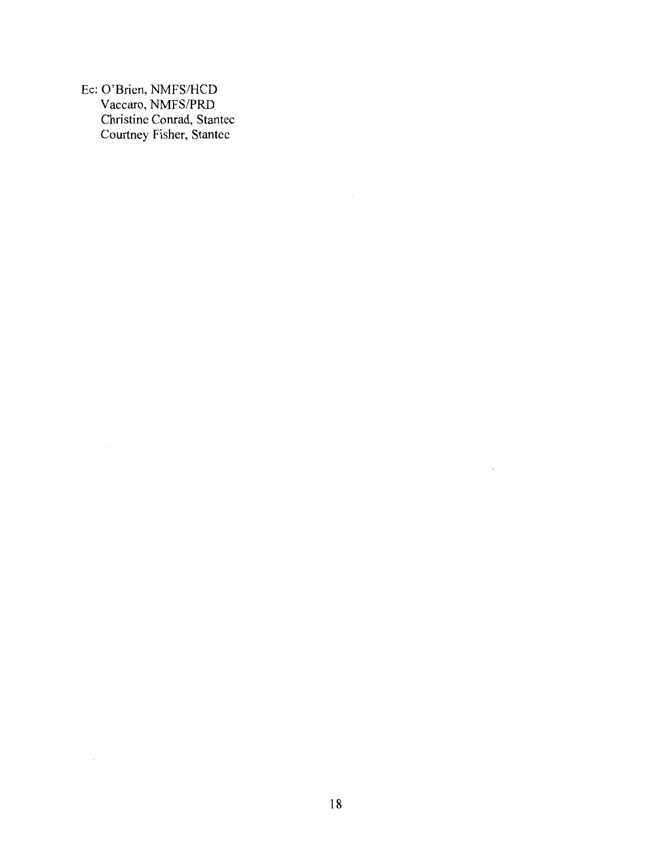Ee: O'Brien, NMFS/HCD Vaccaro, NMFS/PRD Christine Conrad, Stantec Courtney Fisher, Stantec

 $\sim$   $\sim$ 

 $\sim$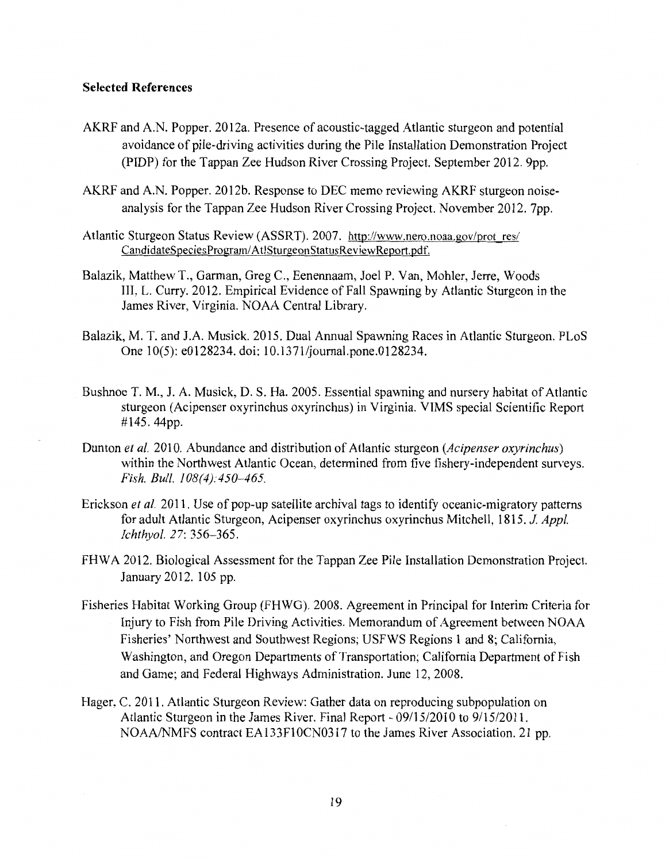### **Selected References**

- AKRF and A.N. Popper. 2012a. Presence of acoustic-tagged Atlantic sturgeon and potential avoidance of pile-driving activities during the Pile Installation Demonstration Project (PIDP) for the Tappan Zee Hudson River Crossing Project. September 2012. 9pp.
- AKRF and AN. Popper. 2012b. Response to DEC memo reviewing AKRF sturgeon noiseanalysis for the Tappan Zee Hudson River Crossing Project. November 2012. 7pp.
- Atlantic Sturgeon Status Review (ASSRT). 2007. http://www.nero.noaa.gov/prot res/ CandidateSpeciesProgram/ AtlSturgeonStatusReviewReport.pdf.
- Balazik, Matthew T., Garman, Greg C., Eenennaam, Joel P. Van, Mohler, Jerre, Woods III, L. Curry. 2012. Empirical Evidence of Fall Spawning by Atlantic Sturgeon in the James River, Virginia. NOAA Central Library.
- Balazik, M. T. and J.A Musick. 2015. Dual Annual Spawning Races in Atlantic Sturgeon. PLoS One 10(5): e0128234. doi: 10.1371/journal.pone.0128234.
- Bushnoe T. M., J. A. Musick, D. S. Ha. 2005. Essential spawning and nursery habitat of Atlantic sturgeon (Acipenser oxyrinchus oxyrinchus) in Virginia. VIMS special Scientific Report #145. 44pp.
- Dunton *et al.* 2010. Abundance and distribution of Atlantic sturgeon *(Acipenser oxyrinchus)*  within the Northwest Atlantic Ocean, determined from five fishery-independent surveys. *Fish. Bull. 108(4):450-465.*
- Erickson *et al.* 2011. Use of pop-up satellite archival tags to identify oceanic-migratory patterns for adult Atlantic Sturgeon, Acipenser oxyrinchus oxyrinchus Mitchell, 1815. J *Appl. Ichthyol. 27:* 356-365.
- FHWA 2012. Biological Assessment for the Tappan Zee Pile Installation Demonstration Project. January 2012. 105 pp.
- Fisheries Habitat Working Group (FHWG). 2008. Agreement in Principal for Interim Criteria for Injury to Fish from Pile Driving Activities. Memorandum of Agreement between NOAA Fisheries' Northwest and Southwest Regions; USFWS Regions 1 and 8; California, Washington, and Oregon Departments of Transportation; California Department of Fish and Game; and Federal Highways Administration. June 12, 2008.
- Hager, C. 2011. Atlantic Sturgeon Review: Gather data on reproducing subpopulation on Atlantic Sturgeon in the James River. Final Report - 09/15/2010 to 9/15/2011. NOAA/NMFS contract EA133FlOCN0317 to the James River Association. 21 pp.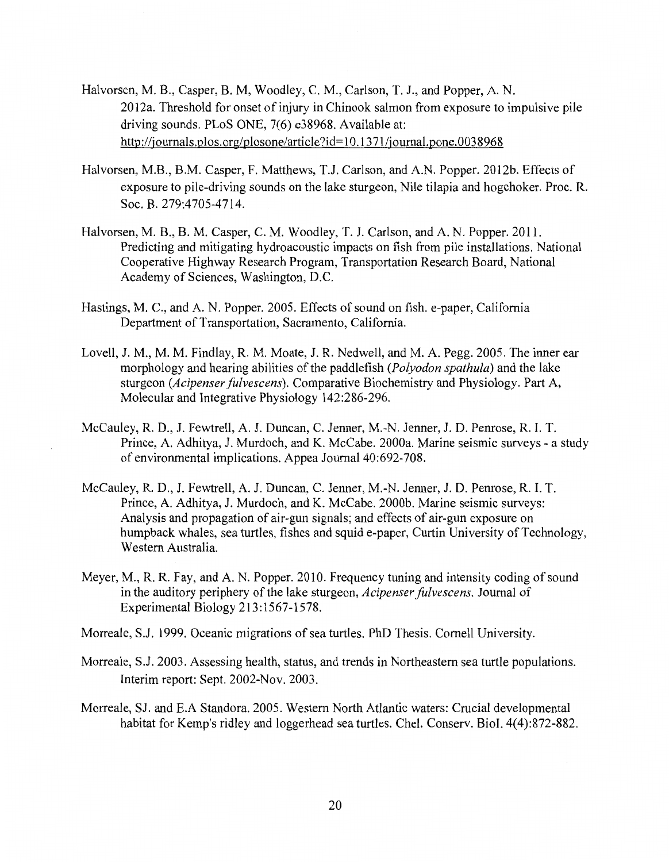- Halvorsen, M. B., Casper, B. M, Woodley, C. M., Carlson, T. J., and Popper, A. N. 2012a. Threshold for onset of injury in Chinook salmon from exposure to impulsive pile driving sounds. PLoS ONE, 7(6) e38968. Available at: http://journals.plos.org/plosone/article?id= 10.13 71 /journal.pone.0038968
- Halvorsen, M.B., B.M. Casper, F. Matthews, T.J. Carlson, and A.N. Popper. 2012b. Effects of exposure to pile-driving sounds on the lake sturgeon, Nile tilapia and hogchoker. Proc. R. Soc. B. 279:4705-4714.
- Halvorsen, M. B., B. M. Casper, C. M. Woodley, T. J. Carlson, and A. N. Popper. 2011. Predicting and mitigating hydroacoustic impacts on fish from pile installations. National Cooperative Highway Research Program, Transportation Research Board, National Academy of Sciences, Washington, D.C.
- Hastings, M. C., and A. N. Popper. 2005. Effects of sound on fish. e-paper, California Department of Transportation, Sacramento, California.
- Lovell, J.M., M. M. Findlay, R. M. Moate, J. R. Nedwell, and M.A. Pegg. 2005. The inner ear morphology and hearing abilities of the paddlefish *(Polyodon spathula)* and the lake sturgeon *(Acipenser fulvescens).* Comparative Biochemistry and Physiology. Part A, Molecular and Integrative Physiology 142:286-296.
- McCauley, R. D., J. Fewtrell, A. J. Duncan, C. Jenner, M.-N. Jenner, J. D. Penrose, R. I. T. Prince, A. Adhitya, J. Murdoch, and K. McCabe. 2000a. Marine seismic surveys - a study of environmental implications. Appea Journal 40:692-708.
- McCauley, R. D., J. Fewtrell, A. J. Duncan, C. Jenner, M.-N. Jenner, J. D. Penrose, R. I. T. Prince, A. Adhitya, J. Murdoch, and K. McCabe. 2000b. Marine seismic surveys: Analysis and propagation of air-gun signals; and effects of air-gun exposure on humpback whales, sea turtles, fishes and squid e-paper, Curtin University of Technology, Western Australia.
- Meyer, M., R. R. Fay, and A. N. Popper. 2010. Frequency tuning and intensity coding of sound in the auditory periphery of the lake sturgeon, *Acipenser fulvescens.* Journal of Experimental Biology 213:1567-1578.
- Morreale, S.J. 1999. Oceanic migrations of sea turtles. PhD Thesis. Cornell University.
- Morreale, S.J. 2003. Assessing health, status, and trends in Northeastern sea turtle populations. Interim report: Sept. 2002-Nov. 2003.
- Morreale, SJ. and E.A Standora. 2005. Western North Atlantic waters: Crucial developmental habitat for Kemp's ridley and loggerhead sea turtles. Chel. Conserv. Biol. 4(4):872-882.